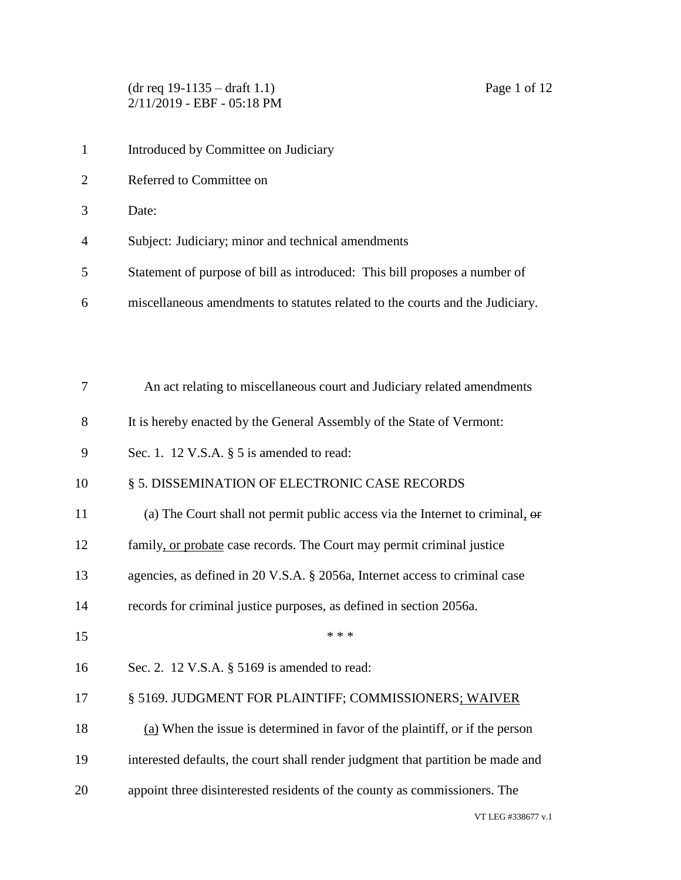(dr req 19-1135 – draft 1.1) Page 1 of 12 2/11/2019 - EBF - 05:18 PM

- 1 Introduced by Committee on Judiciary
- Referred to Committee on
- Date:
- Subject: Judiciary; minor and technical amendments
- Statement of purpose of bill as introduced: This bill proposes a number of
- miscellaneous amendments to statutes related to the courts and the Judiciary.

| 7  | An act relating to miscellaneous court and Judiciary related amendments             |
|----|-------------------------------------------------------------------------------------|
| 8  | It is hereby enacted by the General Assembly of the State of Vermont:               |
| 9  | Sec. 1. 12 V.S.A. $\S$ 5 is amended to read:                                        |
| 10 | § 5. DISSEMINATION OF ELECTRONIC CASE RECORDS                                       |
| 11 | (a) The Court shall not permit public access via the Internet to criminal, $\theta$ |
| 12 | family, or probate case records. The Court may permit criminal justice              |
| 13 | agencies, as defined in 20 V.S.A. § 2056a, Internet access to criminal case         |
| 14 | records for criminal justice purposes, as defined in section 2056a.                 |
| 15 | * * *                                                                               |
| 16 | Sec. 2. 12 V.S.A. § 5169 is amended to read:                                        |
| 17 | § 5169. JUDGMENT FOR PLAINTIFF; COMMISSIONERS; WAIVER                               |
| 18 | $(a)$ When the issue is determined in favor of the plaintiff, or if the person      |
| 19 | interested defaults, the court shall render judgment that partition be made and     |
| 20 | appoint three disinterested residents of the county as commissioners. The           |
|    |                                                                                     |

VT LEG #338677 v.1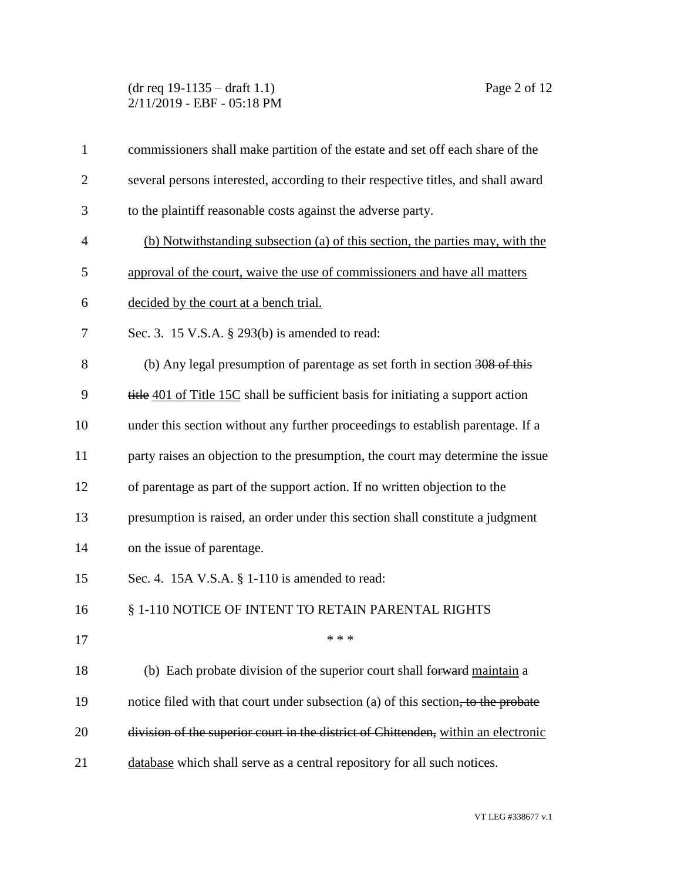### (dr req 19-1135 – draft 1.1) Page 2 of 12 2/11/2019 - EBF - 05:18 PM

| $\mathbf{1}$   | commissioners shall make partition of the estate and set off each share of the     |
|----------------|------------------------------------------------------------------------------------|
| $\overline{2}$ | several persons interested, according to their respective titles, and shall award  |
| 3              | to the plaintiff reasonable costs against the adverse party.                       |
| $\overline{4}$ | (b) Notwithstanding subsection (a) of this section, the parties may, with the      |
| 5              | approval of the court, waive the use of commissioners and have all matters         |
| 6              | decided by the court at a bench trial.                                             |
| 7              | Sec. 3. 15 V.S.A. § 293(b) is amended to read:                                     |
| 8              | (b) Any legal presumption of parentage as set forth in section 308 of this         |
| 9              | title 401 of Title 15C shall be sufficient basis for initiating a support action   |
| 10             | under this section without any further proceedings to establish parentage. If a    |
| 11             | party raises an objection to the presumption, the court may determine the issue    |
| 12             | of parentage as part of the support action. If no written objection to the         |
| 13             | presumption is raised, an order under this section shall constitute a judgment     |
| 14             | on the issue of parentage.                                                         |
| 15             | Sec. 4. 15A V.S.A. § 1-110 is amended to read:                                     |
| 16             | § 1-110 NOTICE OF INTENT TO RETAIN PARENTAL RIGHTS                                 |
| 17             | * * *                                                                              |
| 18             | (b) Each probate division of the superior court shall forward maintain a           |
| 19             | notice filed with that court under subsection (a) of this section, to the probate  |
| 20             | division of the superior court in the district of Chittenden, within an electronic |
| 21             | database which shall serve as a central repository for all such notices.           |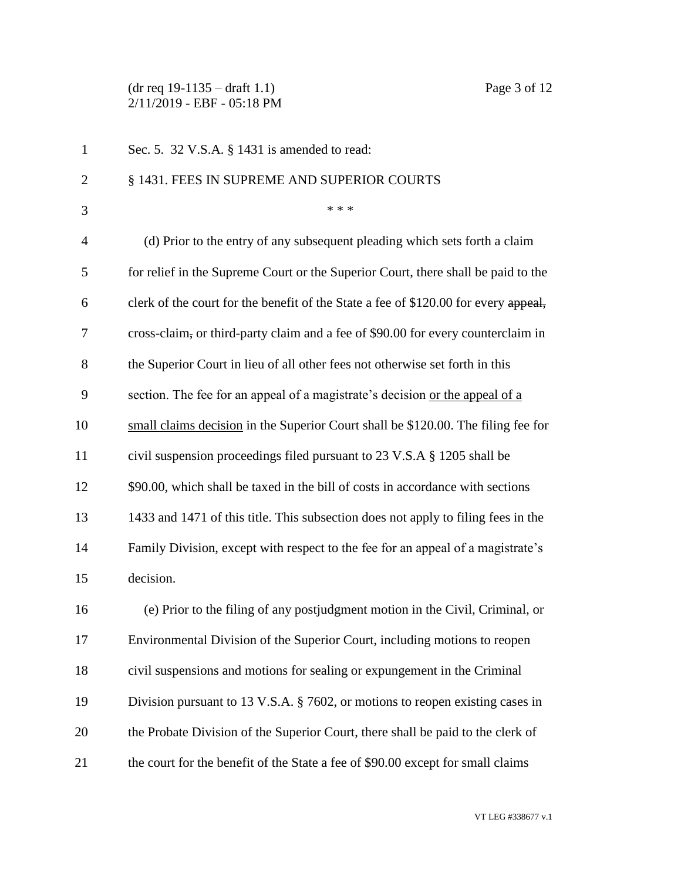### (dr req 19-1135 – draft 1.1) Page 3 of 12 2/11/2019 - EBF - 05:18 PM

| $\mathbf{1}$   | Sec. 5. 32 V.S.A. § 1431 is amended to read:                                        |
|----------------|-------------------------------------------------------------------------------------|
| $\overline{2}$ | § 1431. FEES IN SUPREME AND SUPERIOR COURTS                                         |
| 3              | * * *                                                                               |
| $\overline{4}$ | (d) Prior to the entry of any subsequent pleading which sets forth a claim          |
| 5              | for relief in the Supreme Court or the Superior Court, there shall be paid to the   |
| 6              | clerk of the court for the benefit of the State a fee of \$120.00 for every appeal, |
| 7              | cross-claim, or third-party claim and a fee of \$90.00 for every counterclaim in    |
| 8              | the Superior Court in lieu of all other fees not otherwise set forth in this        |
| 9              | section. The fee for an appeal of a magistrate's decision or the appeal of a        |
| 10             | small claims decision in the Superior Court shall be \$120.00. The filing fee for   |
| 11             | civil suspension proceedings filed pursuant to 23 V.S.A § 1205 shall be             |
| 12             | \$90.00, which shall be taxed in the bill of costs in accordance with sections      |
| 13             | 1433 and 1471 of this title. This subsection does not apply to filing fees in the   |
| 14             | Family Division, except with respect to the fee for an appeal of a magistrate's     |
| 15             | decision.                                                                           |
| 16             | (e) Prior to the filing of any postjudgment motion in the Civil, Criminal, or       |
| 17             | Environmental Division of the Superior Court, including motions to reopen           |
| 18             | civil suspensions and motions for sealing or expungement in the Criminal            |
| 19             | Division pursuant to 13 V.S.A. § 7602, or motions to reopen existing cases in       |
| 20             | the Probate Division of the Superior Court, there shall be paid to the clerk of     |
| 21             | the court for the benefit of the State a fee of \$90.00 except for small claims     |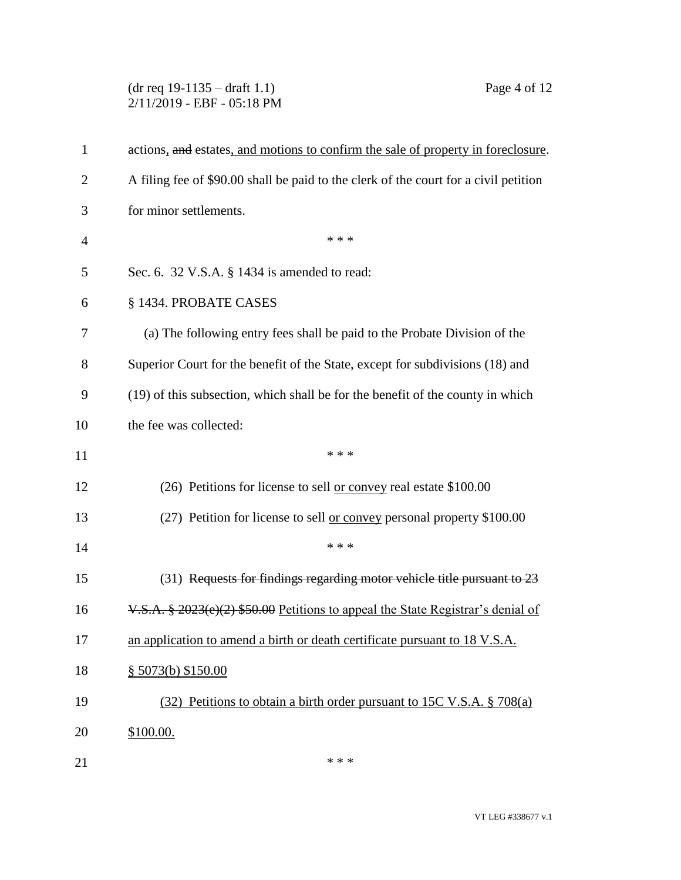## (dr req 19-1135 – draft 1.1) Page 4 of 12 2/11/2019 - EBF - 05:18 PM

| 1              | actions, and estates, and motions to confirm the sale of property in foreclosure.           |
|----------------|---------------------------------------------------------------------------------------------|
| $\overline{2}$ | A filing fee of \$90.00 shall be paid to the clerk of the court for a civil petition        |
| 3              | for minor settlements.                                                                      |
| $\overline{4}$ | * * *                                                                                       |
| 5              | Sec. 6. 32 V.S.A. § 1434 is amended to read:                                                |
| 6              | § 1434. PROBATE CASES                                                                       |
| 7              | (a) The following entry fees shall be paid to the Probate Division of the                   |
| 8              | Superior Court for the benefit of the State, except for subdivisions (18) and               |
| 9              | (19) of this subsection, which shall be for the benefit of the county in which              |
| 10             | the fee was collected:                                                                      |
| 11             | * * *                                                                                       |
| 12             | (26) Petitions for license to sell or convey real estate \$100.00                           |
| 13             | (27) Petition for license to sell or convey personal property \$100.00                      |
| 14             | * * *                                                                                       |
| 15             | (31) Requests for findings regarding motor vehicle title pursuant to 23                     |
| 16             | $V.S.A. \frac{8}{9}$ 2023(e)(2) \$50.00 Petitions to appeal the State Registrar's denial of |
| 17             | an application to amend a birth or death certificate pursuant to 18 V.S.A.                  |
| 18             | \$5073(b) \$150.00                                                                          |
| 19             | $(32)$ Petitions to obtain a birth order pursuant to 15C V.S.A. § 708(a)                    |
| 20             | \$100.00.                                                                                   |
| 21             | * * *                                                                                       |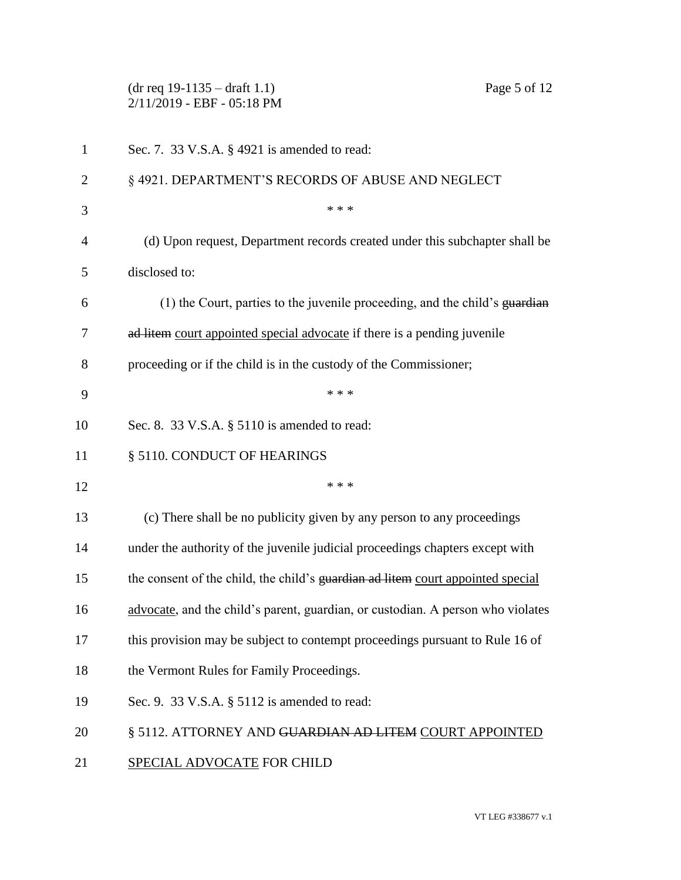|                | Page 5 of 12<br>$(dr \text{ req } 19-1135 - draft 1.1)$<br>2/11/2019 - EBF - 05:18 PM |
|----------------|---------------------------------------------------------------------------------------|
| $\mathbf{1}$   | Sec. 7. 33 V.S.A. § 4921 is amended to read:                                          |
| $\overline{2}$ | §4921. DEPARTMENT'S RECORDS OF ABUSE AND NEGLECT                                      |
| 3              | * * *                                                                                 |
| $\overline{4}$ | (d) Upon request, Department records created under this subchapter shall be           |
| 5              | disclosed to:                                                                         |
| 6              | (1) the Court, parties to the juvenile proceeding, and the child's guardian           |
| 7              | ad litem court appointed special advocate if there is a pending juvenile              |
| 8              | proceeding or if the child is in the custody of the Commissioner;                     |
| 9              | * * *                                                                                 |
| 10             | Sec. 8. 33 V.S.A. § 5110 is amended to read:                                          |
| 11             | § 5110. CONDUCT OF HEARINGS                                                           |
| 12             | * * *                                                                                 |
| 13             | (c) There shall be no publicity given by any person to any proceedings                |
| 14             | under the authority of the juvenile judicial proceedings chapters except with         |
| 15             | the consent of the child, the child's guardian ad litem court appointed special       |
| 16             | advocate, and the child's parent, guardian, or custodian. A person who violates       |
| 17             | this provision may be subject to contempt proceedings pursuant to Rule 16 of          |
| 18             | the Vermont Rules for Family Proceedings.                                             |
| 19             | Sec. 9. 33 V.S.A. § 5112 is amended to read:                                          |
| 20             | § 5112. ATTORNEY AND GUARDIAN AD LITEM COURT APPOINTED                                |
| 21             | SPECIAL ADVOCATE FOR CHILD                                                            |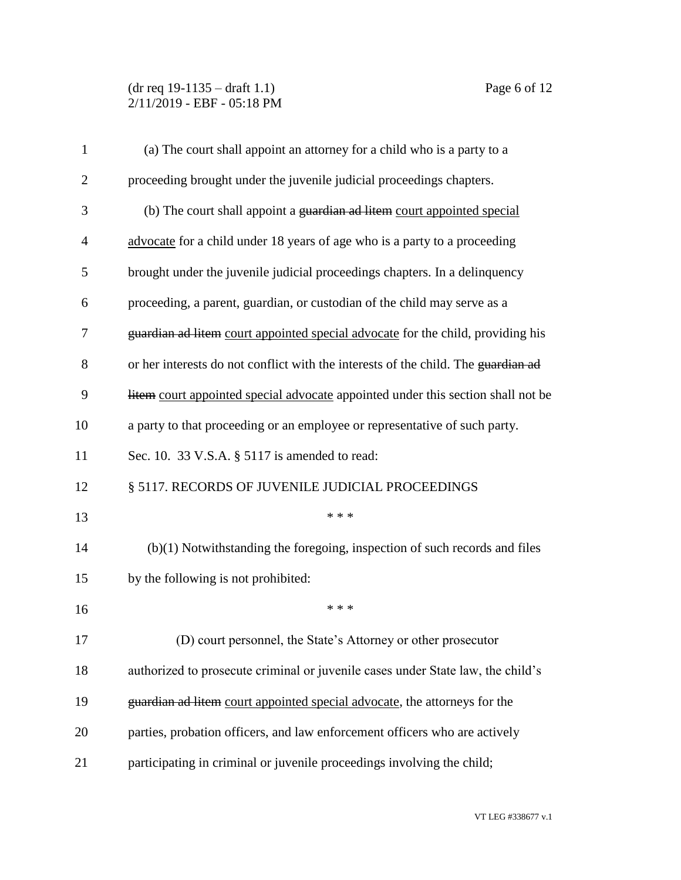### (dr req 19-1135 – draft 1.1) Page 6 of 12 2/11/2019 - EBF - 05:18 PM

| $\mathbf{1}$   | (a) The court shall appoint an attorney for a child who is a party to a           |
|----------------|-----------------------------------------------------------------------------------|
| $\overline{2}$ | proceeding brought under the juvenile judicial proceedings chapters.              |
| 3              | (b) The court shall appoint a guardian ad litem court appointed special           |
| $\overline{4}$ | advocate for a child under 18 years of age who is a party to a proceeding         |
| 5              | brought under the juvenile judicial proceedings chapters. In a delinquency        |
| 6              | proceeding, a parent, guardian, or custodian of the child may serve as a          |
| 7              | guardian ad litem court appointed special advocate for the child, providing his   |
| 8              | or her interests do not conflict with the interests of the child. The guardian ad |
| 9              | litem court appointed special advocate appointed under this section shall not be  |
| 10             | a party to that proceeding or an employee or representative of such party.        |
| 11             | Sec. 10. 33 V.S.A. § 5117 is amended to read:                                     |
| 12             | § 5117. RECORDS OF JUVENILE JUDICIAL PROCEEDINGS                                  |
| 13             | * * *                                                                             |
| 14             | $(b)(1)$ Notwithstanding the foregoing, inspection of such records and files      |
| 15             | by the following is not prohibited:                                               |
| 16             | * * *                                                                             |
| 17             | (D) court personnel, the State's Attorney or other prosecutor                     |
| 18             | authorized to prosecute criminal or juvenile cases under State law, the child's   |
| 19             | guardian ad litem court appointed special advocate, the attorneys for the         |
| 20             | parties, probation officers, and law enforcement officers who are actively        |
| 21             | participating in criminal or juvenile proceedings involving the child;            |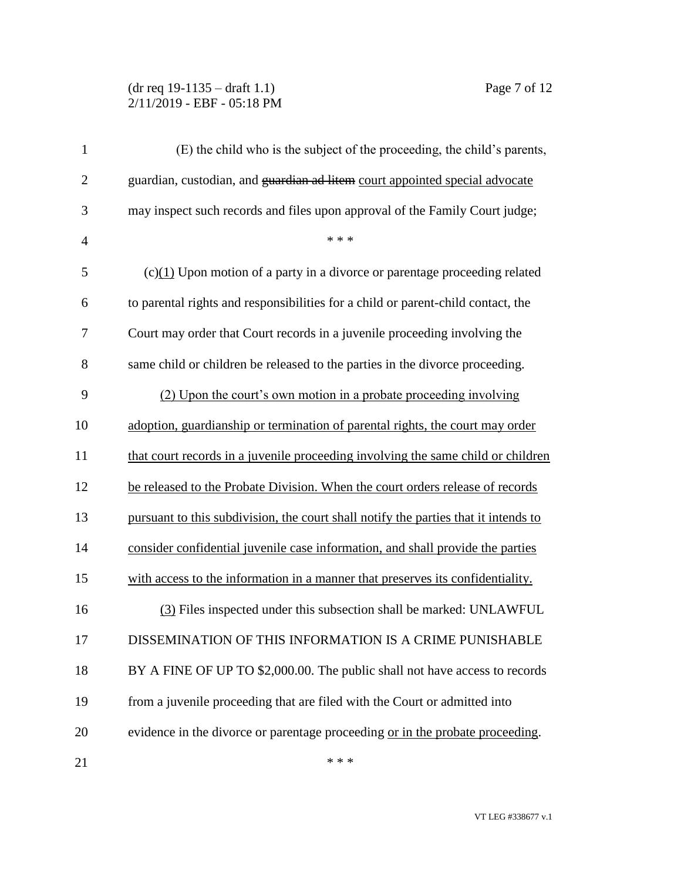#### (dr req 19-1135 – draft 1.1) Page 7 of 12 2/11/2019 - EBF - 05:18 PM

| $\mathbf{1}$   | (E) the child who is the subject of the proceeding, the child's parents,            |
|----------------|-------------------------------------------------------------------------------------|
| $\mathbf{2}$   | guardian, custodian, and guardian ad litem court appointed special advocate         |
| 3              | may inspect such records and files upon approval of the Family Court judge;         |
| $\overline{4}$ | * * *                                                                               |
| 5              | $(c)(1)$ Upon motion of a party in a divorce or parentage proceeding related        |
| 6              | to parental rights and responsibilities for a child or parent-child contact, the    |
| 7              | Court may order that Court records in a juvenile proceeding involving the           |
| 8              | same child or children be released to the parties in the divorce proceeding.        |
| 9              | (2) Upon the court's own motion in a probate proceeding involving                   |
| 10             | adoption, guardianship or termination of parental rights, the court may order       |
| 11             | that court records in a juvenile proceeding involving the same child or children    |
| 12             | be released to the Probate Division. When the court orders release of records       |
| 13             | pursuant to this subdivision, the court shall notify the parties that it intends to |
| 14             | consider confidential juvenile case information, and shall provide the parties      |
| 15             | with access to the information in a manner that preserves its confidentiality.      |
| 16             | (3) Files inspected under this subsection shall be marked: UNLAWFUL                 |
| 17             | DISSEMINATION OF THIS INFORMATION IS A CRIME PUNISHABLE                             |
| 18             | BY A FINE OF UP TO \$2,000.00. The public shall not have access to records          |
| 19             | from a juvenile proceeding that are filed with the Court or admitted into           |
| 20             | evidence in the divorce or parentage proceeding or in the probate proceeding.       |
| 21             | * * *                                                                               |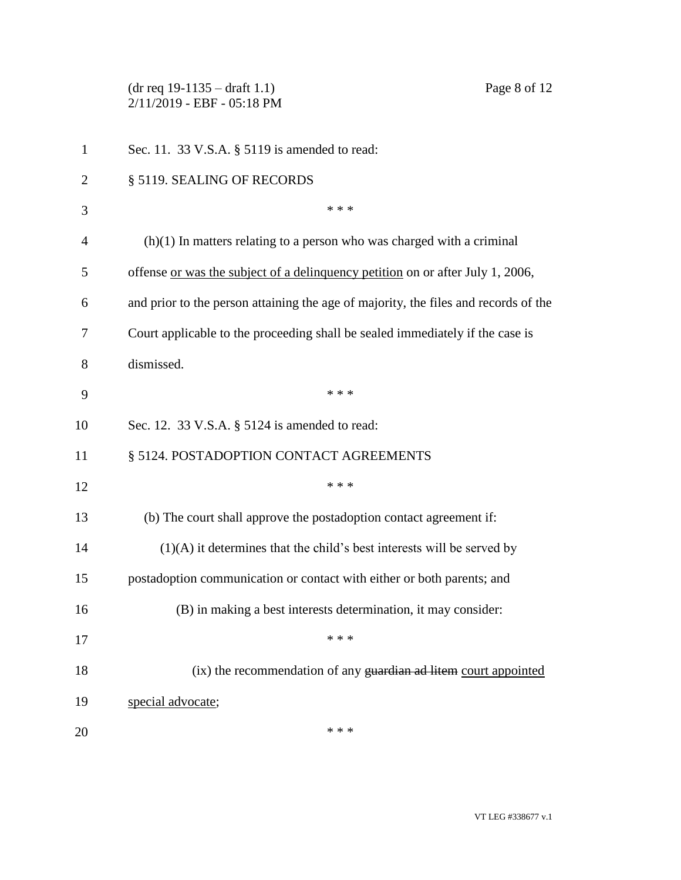(dr req 19-1135 – draft 1.1) Page 8 of 12 2/11/2019 - EBF - 05:18 PM Sec. 11. 33 V.S.A. § 5119 is amended to read: 2 § 5119. SEALING OF RECORDS  $***$  (h)(1) In matters relating to a person who was charged with a criminal offense or was the subject of a delinquency petition on or after July 1, 2006, and prior to the person attaining the age of majority, the files and records of the Court applicable to the proceeding shall be sealed immediately if the case is dismissed. \* \* \* Sec. 12. 33 V.S.A. § 5124 is amended to read: 11 § 5124. POSTADOPTION CONTACT AGREEMENTS \*\*\* (b) The court shall approve the postadoption contact agreement if: (1)(A) it determines that the child's best interests will be served by postadoption communication or contact with either or both parents; and (B) in making a best interests determination, it may consider:  $***$  (ix) the recommendation of any guardian ad litem court appointed special advocate;  $***$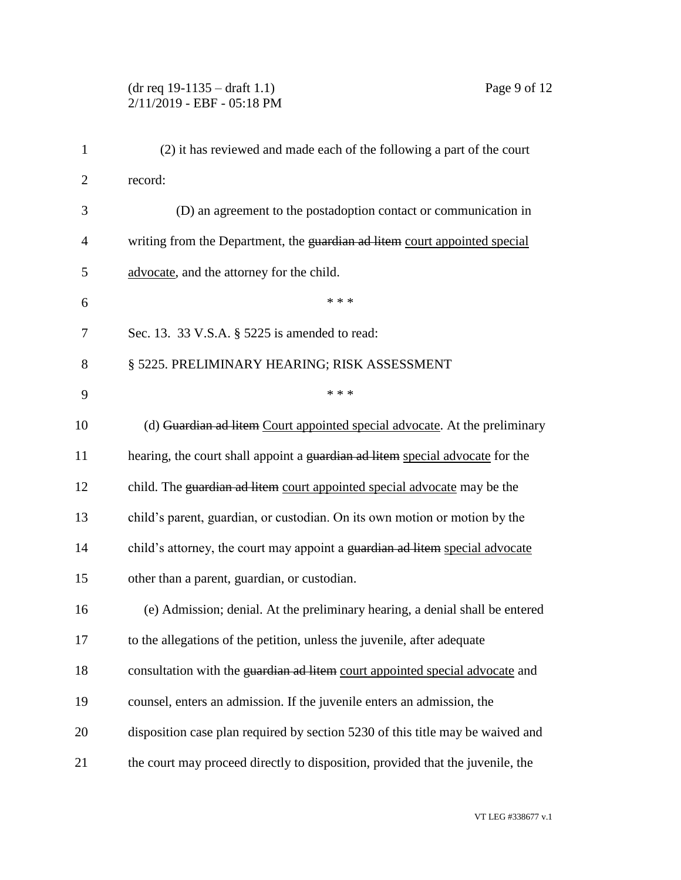### (dr req 19-1135 – draft 1.1) Page 9 of 12 2/11/2019 - EBF - 05:18 PM

| $\mathbf{1}$   | (2) it has reviewed and made each of the following a part of the court         |
|----------------|--------------------------------------------------------------------------------|
| $\overline{2}$ | record:                                                                        |
| 3              | (D) an agreement to the postadoption contact or communication in               |
| 4              | writing from the Department, the guardian ad litem court appointed special     |
| 5              | advocate, and the attorney for the child.                                      |
| 6              | * * *                                                                          |
| 7              | Sec. 13. 33 V.S.A. § 5225 is amended to read:                                  |
| 8              | § 5225. PRELIMINARY HEARING; RISK ASSESSMENT                                   |
| 9              | * * *                                                                          |
| 10             | (d) Guardian ad litem Court appointed special advocate. At the preliminary     |
| 11             | hearing, the court shall appoint a guardian ad litem special advocate for the  |
| 12             | child. The guardian ad litem court appointed special advocate may be the       |
| 13             | child's parent, guardian, or custodian. On its own motion or motion by the     |
| 14             | child's attorney, the court may appoint a guardian ad litem special advocate   |
| 15             | other than a parent, guardian, or custodian.                                   |
| 16             | (e) Admission; denial. At the preliminary hearing, a denial shall be entered   |
| 17             | to the allegations of the petition, unless the juvenile, after adequate        |
| 18             | consultation with the guardian ad litem court appointed special advocate and   |
| 19             | counsel, enters an admission. If the juvenile enters an admission, the         |
| 20             | disposition case plan required by section 5230 of this title may be waived and |
| 21             | the court may proceed directly to disposition, provided that the juvenile, the |
|                |                                                                                |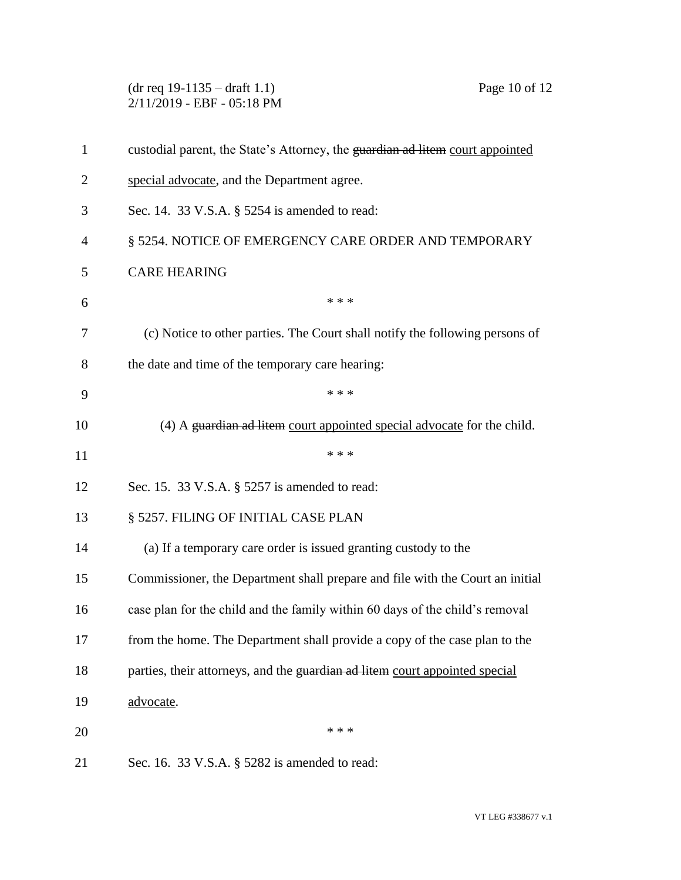(dr req 19-1135 – draft 1.1) Page 10 of 12 2/11/2019 - EBF - 05:18 PM custodial parent, the State's Attorney, the guardian ad litem court appointed special advocate, and the Department agree. Sec. 14. 33 V.S.A. § 5254 is amended to read: § 5254. NOTICE OF EMERGENCY CARE ORDER AND TEMPORARY CARE HEARING  $***$  (c) Notice to other parties. The Court shall notify the following persons of the date and time of the temporary care hearing: \* \* \* 10 (4) A guardian ad litem court appointed special advocate for the child.  $***$  Sec. 15. 33 V.S.A. § 5257 is amended to read: 13 § 5257. FILING OF INITIAL CASE PLAN (a) If a temporary care order is issued granting custody to the Commissioner, the Department shall prepare and file with the Court an initial case plan for the child and the family within 60 days of the child's removal from the home. The Department shall provide a copy of the case plan to the 18 parties, their attorneys, and the guardian ad litem court appointed special 19 advocate.  $***$ Sec. 16. 33 V.S.A. § 5282 is amended to read: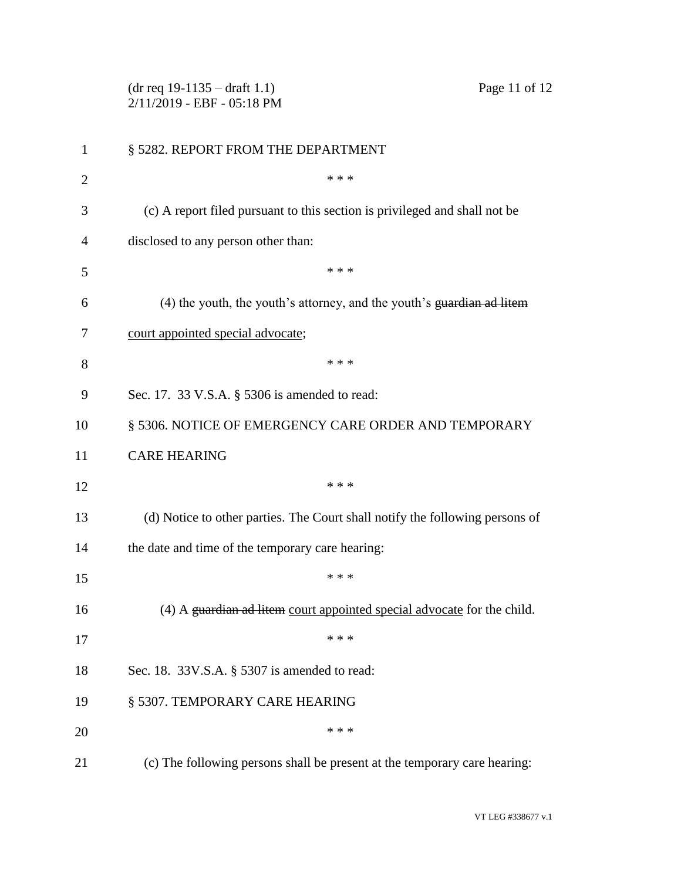|                | $(dr \text{ req } 19-1135 - draft 1.1)$<br>Page 11 of 12<br>2/11/2019 - EBF - 05:18 PM |
|----------------|----------------------------------------------------------------------------------------|
| $\mathbf{1}$   | § 5282. REPORT FROM THE DEPARTMENT                                                     |
| $\overline{2}$ | * * *                                                                                  |
| 3              | (c) A report filed pursuant to this section is privileged and shall not be             |
| 4              | disclosed to any person other than:                                                    |
| 5              | * * *                                                                                  |
| 6              | (4) the youth, the youth's attorney, and the youth's guardian ad litem                 |
| 7              | court appointed special advocate;                                                      |
| 8              | * * *                                                                                  |
| 9              | Sec. 17. 33 V.S.A. § 5306 is amended to read:                                          |
| 10             | § 5306. NOTICE OF EMERGENCY CARE ORDER AND TEMPORARY                                   |
| 11             | <b>CARE HEARING</b>                                                                    |
| 12             | * * *                                                                                  |
| 13             | (d) Notice to other parties. The Court shall notify the following persons of           |
| 14             | the date and time of the temporary care hearing:                                       |
| 15             | * * *                                                                                  |
| 16             | (4) A guardian ad litem court appointed special advocate for the child.                |
| 17             | * * *                                                                                  |
| 18             | Sec. 18. 33V.S.A. § 5307 is amended to read:                                           |
| 19             | § 5307. TEMPORARY CARE HEARING                                                         |
| 20             | * * *                                                                                  |
| 21             | (c) The following persons shall be present at the temporary care hearing:              |